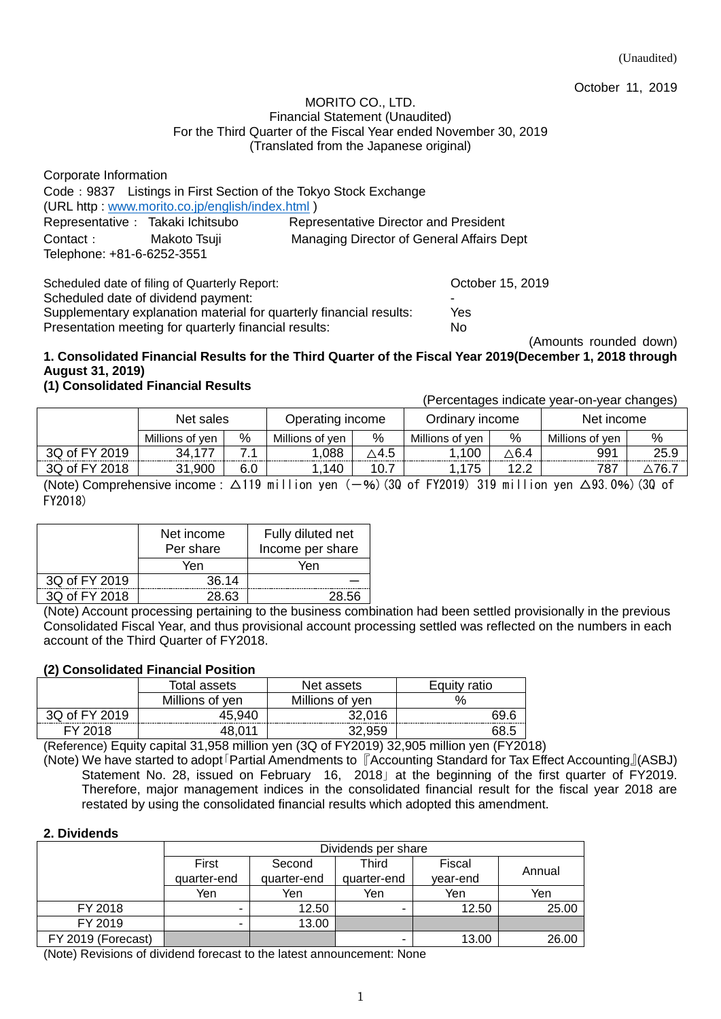(Unaudited)

October 11, 2019

### MORITO CO., LTD. Financial Statement (Unaudited) For the Third Quarter of the Fiscal Year ended November 30, 2019 (Translated from the Japanese original)

| Corporate Information                           |                                                                  |  |  |  |  |
|-------------------------------------------------|------------------------------------------------------------------|--|--|--|--|
|                                                 | Code: 9837 Listings in First Section of the Tokyo Stock Exchange |  |  |  |  |
| (URL http: www.morito.co.jp/english/index.html) |                                                                  |  |  |  |  |
| Representative : Takaki Ichitsubo               | Representative Director and President                            |  |  |  |  |
| Makoto Tsuji                                    | Managing Director of General Affairs Dept                        |  |  |  |  |
| Contact:<br>Telephone: +81-6-6252-3551          |                                                                  |  |  |  |  |
|                                                 |                                                                  |  |  |  |  |

Scheduled date of filing of Quarterly Report: Change of Contract Control of Contract October 15, 2019 Scheduled date of dividend payment: Supplementary explanation material for quarterly financial results: Yes Presentation meeting for quarterly financial results: No

(Amounts rounded down)

# **1. Consolidated Financial Results for the Third Quarter of the Fiscal Year 2019(December 1, 2018 through August 31, 2019)**

# **(1) Consolidated Financial Results**

(Percentages indicate year-on-year changes)

|               | Net sales       |     | Operating income |           | Ordinarv income |                 | Net income      |       |
|---------------|-----------------|-----|------------------|-----------|-----------------|-----------------|-----------------|-------|
|               | Millions of ven | %   | Millions of ven  | %         | Millions of ven | %               | Millions of ven | %     |
| 3Q of FY 2019 | 34,177          |     | .088             | ∆4.5      | .100            | $\triangle$ 6.4 | 991             | 25.9  |
| 3Q of FY 2018 | .900<br>31      | 6.0 | .140             | ⇁<br>10.7 | 175             | 1つ つ<br>ے . د   | 787             | ∆76.7 |

(Note) Comprehensive income :  $\Delta$ 119 million yen (-%)(3Q of FY2019) 319 million yen  $\Delta$ 93.0%)(3Q of FY2018)

|               | Net income<br>Per share | Fully diluted net<br>Income per share                                                                                                                                                                                            |
|---------------|-------------------------|----------------------------------------------------------------------------------------------------------------------------------------------------------------------------------------------------------------------------------|
|               | Yen                     | Yen                                                                                                                                                                                                                              |
| 3Q of FY 2019 | 36.14                   |                                                                                                                                                                                                                                  |
| 3Q of FY 2018 | 28.63                   | 28.56                                                                                                                                                                                                                            |
|               |                         | $\sqrt{2}$ . The contract of the contract of the contract of the contract of the contract of the contract of the contract of the contract of the contract of the contract of the contract of the contract of the contract of the |

(Note) Account processing pertaining to the business combination had been settled provisionally in the previous Consolidated Fiscal Year, and thus provisional account processing settled was reflected on the numbers in each account of the Third Quarter of FY2018.

# **(2) Consolidated Financial Position**

|               | Total assets    | Net assets      | Equity ratio |
|---------------|-----------------|-----------------|--------------|
|               | Millions of yen | Millions of yen | $\%$         |
| 3Q of FY 2019 | 45.940          | 32,016          | -69.F        |
| FY 2018       |                 |                 |              |

(Reference) Equity capital 31,958 million yen (3Q of FY2019) 32,905 million yen (FY2018)

(Note) We have started to adopt「Partial Amendments to 『Accounting Standard for Tax Effect Accounting』(ASBJ) Statement No. 28, issued on February 16, 2018」at the beginning of the first quarter of FY2019. Therefore, major management indices in the consolidated financial result for the fiscal year 2018 are restated by using the consolidated financial results which adopted this amendment.

### **2. Dividends**

|                    |                                    | Dividends per share |             |          |        |  |  |  |
|--------------------|------------------------------------|---------------------|-------------|----------|--------|--|--|--|
|                    | First<br>Third<br>Fiscal<br>Second |                     |             |          |        |  |  |  |
|                    | quarter-end                        | quarter-end         | quarter-end | year-end | Annual |  |  |  |
|                    | Yen                                | Yen                 | Yen         | Yen      | Yen    |  |  |  |
| FY 2018            |                                    | 12.50               |             | 12.50    | 25.00  |  |  |  |
| FY 2019            |                                    | 13.00               |             |          |        |  |  |  |
| FY 2019 (Forecast) |                                    |                     | -           | 13.00    | 26.00  |  |  |  |

(Note) Revisions of dividend forecast to the latest announcement: None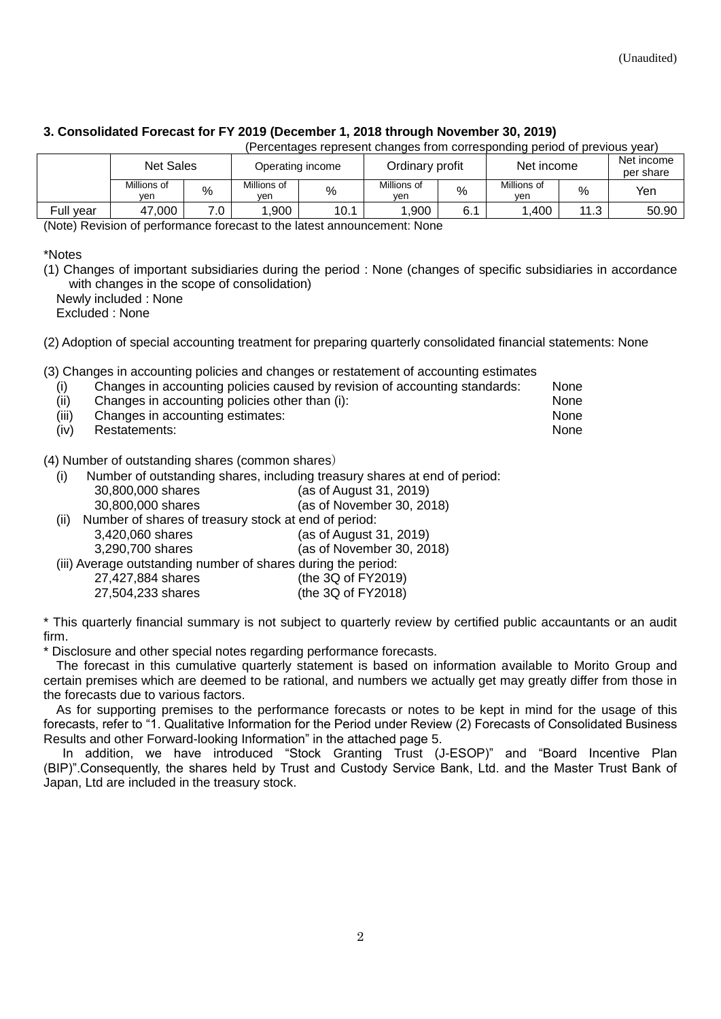# **3. Consolidated Forecast for FY 2019 (December 1, 2018 through November 30, 2019)**

|           | <b>Net Sales</b>   |     | Operating income   |      | Ordinary profit    |     | Net income         |      | Net income<br>per share |
|-----------|--------------------|-----|--------------------|------|--------------------|-----|--------------------|------|-------------------------|
|           | Millions of<br>ven | %   | Millions of<br>yen | %    | Millions of<br>ven | %   | Millions of<br>ven | %    | Yen                     |
| Full year | 000.7<br>47        | 7 N | .900               | 10.1 | ,900               | 6.1 | .400               | 11.3 | 50.90                   |

(Percentages represent changes from corresponding period of previous year)

(Note) Revision of performance forecast to the latest announcement: None

\*Notes

(1) Changes of important subsidiaries during the period : None (changes of specific subsidiaries in accordance with changes in the scope of consolidation)

Newly included : None Excluded : None

(2) Adoption of special accounting treatment for preparing quarterly consolidated financial statements: None

(3) Changes in accounting policies and changes or restatement of accounting estimates

| (i)   | $\sim$ , and the state of the state of the state of the state of the state of the state of the state of the state of the state of the state of the state of the state of the state of the state of the state of the state of th<br>Changes in accounting policies caused by revision of accounting standards: | <b>None</b> |
|-------|---------------------------------------------------------------------------------------------------------------------------------------------------------------------------------------------------------------------------------------------------------------------------------------------------------------|-------------|
| (ii)  | Changes in accounting policies other than (i):                                                                                                                                                                                                                                                                | <b>None</b> |
| (iii) | Changes in accounting estimates:                                                                                                                                                                                                                                                                              | <b>None</b> |
| (iv)  | Restatements:                                                                                                                                                                                                                                                                                                 | <b>None</b> |

(4) Number of outstanding shares (common shares)

(i) Number of outstanding shares, including treasury shares at end of period:

|       | 30,800,000 shares                                             | (as of August 31, 2019)   |
|-------|---------------------------------------------------------------|---------------------------|
|       | 30,800,000 shares                                             | (as of November 30, 2018) |
| (iii) | Number of shares of treasury stock at end of period:          |                           |
|       | 3,420,060 shares                                              | (as of August 31, 2019)   |
|       | 3,290,700 shares                                              | (as of November 30, 2018) |
|       | (iii) Average outstanding number of shares during the period: |                           |
|       | 27,427,884 shares                                             | (the 3Q of FY2019)        |
|       | 27,504,233 shares                                             | (the 3Q of FY2018)        |

\* This quarterly financial summary is not subject to quarterly review by certified public accauntants or an audit firm.

Disclosure and other special notes regarding performance forecasts.

The forecast in this cumulative quarterly statement is based on information available to Morito Group and certain premises which are deemed to be rational, and numbers we actually get may greatly differ from those in the forecasts due to various factors.

As for supporting premises to the performance forecasts or notes to be kept in mind for the usage of this forecasts, refer to "1. Qualitative Information for the Period under Review (2) Forecasts of Consolidated Business Results and other Forward-looking Information" in the attached page 5.

In addition, we have introduced "Stock Granting Trust (J-ESOP)" and "Board Incentive Plan (BIP)".Consequently, the shares held by Trust and Custody Service Bank, Ltd. and the Master Trust Bank of Japan, Ltd are included in the treasury stock.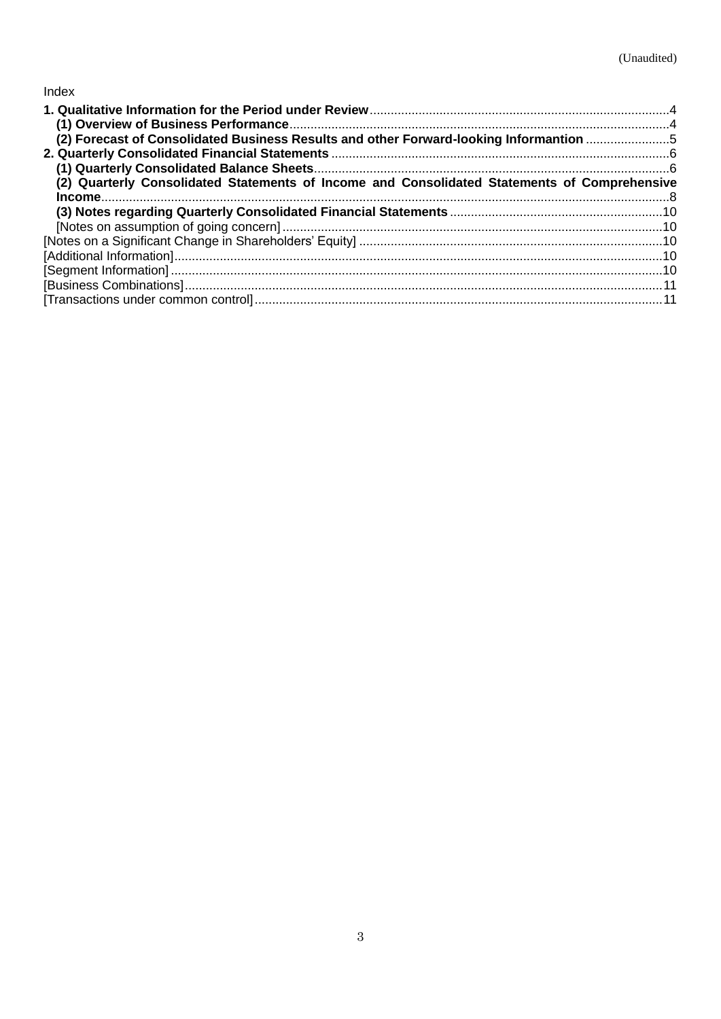# Index

| (2) Forecast of Consolidated Business Results and other Forward-looking Informantion 5       |  |
|----------------------------------------------------------------------------------------------|--|
|                                                                                              |  |
|                                                                                              |  |
| (2) Quarterly Consolidated Statements of Income and Consolidated Statements of Comprehensive |  |
|                                                                                              |  |
|                                                                                              |  |
|                                                                                              |  |
|                                                                                              |  |
|                                                                                              |  |
|                                                                                              |  |
|                                                                                              |  |
|                                                                                              |  |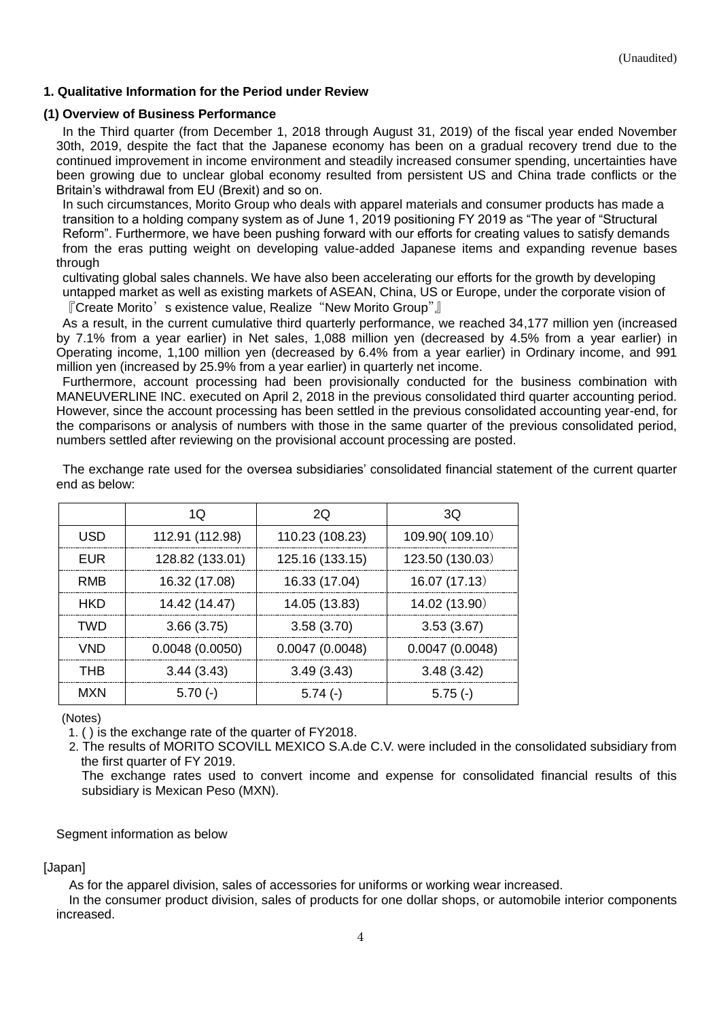## <span id="page-3-0"></span>**1. Qualitative Information for the Period under Review**

### <span id="page-3-1"></span>**(1) Overview of Business Performance**

In the Third quarter (from December 1, 2018 through August 31, 2019) of the fiscal year ended November 30th, 2019, despite the fact that the Japanese economy has been on a gradual recovery trend due to the continued improvement in income environment and steadily increased consumer spending, uncertainties have been growing due to unclear global economy resulted from persistent US and China trade conflicts or the Britain's withdrawal from EU (Brexit) and so on.

In such circumstances, Morito Group who deals with apparel materials and consumer products has made a transition to a holding company system as of June 1, 2019 positioning FY 2019 as "The year of "Structural Reform". Furthermore, we have been pushing forward with our efforts for creating values to satisfy demands from the eras putting weight on developing value-added Japanese items and expanding revenue bases through

cultivating global sales channels. We have also been accelerating our efforts for the growth by developing untapped market as well as existing markets of ASEAN, China, US or Europe, under the corporate vision of 『Create Morito's existence value, Realize "New Morito Group"』

As a result, in the current cumulative third quarterly performance, we reached 34,177 million yen (increased by 7.1% from a year earlier) in Net sales, 1,088 million yen (decreased by 4.5% from a year earlier) in Operating income, 1,100 million yen (decreased by 6.4% from a year earlier) in Ordinary income, and 991 million yen (increased by 25.9% from a year earlier) in quarterly net income.

Furthermore, account processing had been provisionally conducted for the business combination with MANEUVERLINE INC. executed on April 2, 2018 in the previous consolidated third quarter accounting period. However, since the account processing has been settled in the previous consolidated accounting year-end, for the comparisons or analysis of numbers with those in the same quarter of the previous consolidated period, numbers settled after reviewing on the provisional account processing are posted.

|            | 1Q              | 20              | 3Q              |
|------------|-----------------|-----------------|-----------------|
| <b>USD</b> | 112.91 (112.98) | 110.23 (108.23) | 109.90(109.10)  |
| <b>EUR</b> | 128.82 (133.01) | 125.16 (133.15) | 123.50 (130.03) |
| RMB        | 16.32 (17.08)   | 16.33 (17.04)   | 16.07 (17.13)   |
| <b>HKD</b> | 14.42 (14.47)   | 14.05 (13.83)   | 14.02 (13.90)   |
| <b>TWD</b> | 3.66(3.75)      | 3.58(3.70)      | 3.53(3.67)      |
| <b>VND</b> | 0.0048(0.0050)  | 0.0047(0.0048)  | 0.0047(0.0048)  |
| <b>THB</b> | 3.44(3.43)      | 3.49(3.43)      | 3.48(3.42)      |
| <b>MXN</b> | $5.70(-)$       | $5.74(-)$       | $5.75(-)$       |

The exchange rate used for the oversea subsidiaries' consolidated financial statement of the current quarter end as below:

(Notes)

1. ( ) is the exchange rate of the quarter of FY2018.

2. The results of MORITO SCOVILL MEXICO S.A.de C.V. were included in the consolidated subsidiary from the first quarter of FY 2019.

The exchange rates used to convert income and expense for consolidated financial results of this subsidiary is Mexican Peso (MXN).

### Segment information as below

[Japan]

As for the apparel division, sales of accessories for uniforms or working wear increased.

In the consumer product division, sales of products for one dollar shops, or automobile interior components increased.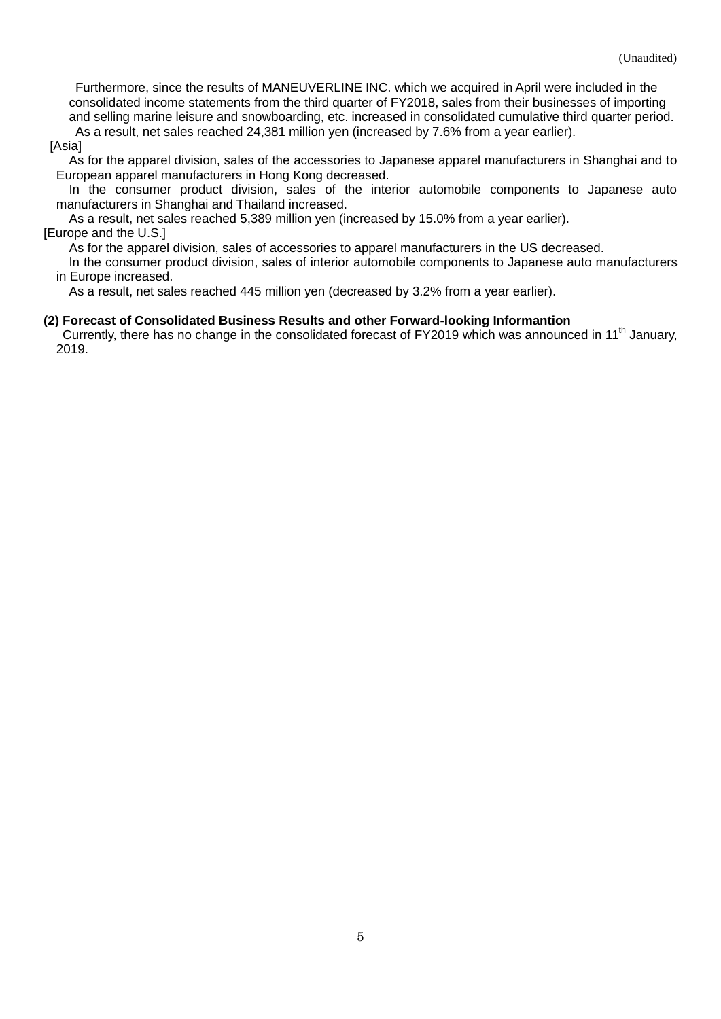Furthermore, since the results of MANEUVERLINE INC. which we acquired in April were included in the consolidated income statements from the third quarter of FY2018, sales from their businesses of importing and selling marine leisure and snowboarding, etc. increased in consolidated cumulative third quarter period. As a result, net sales reached 24,381 million yen (increased by 7.6% from a year earlier).

[Asia]

As for the apparel division, sales of the accessories to Japanese apparel manufacturers in Shanghai and to European apparel manufacturers in Hong Kong decreased.

In the consumer product division, sales of the interior automobile components to Japanese auto manufacturers in Shanghai and Thailand increased.

As a result, net sales reached 5,389 million yen (increased by 15.0% from a year earlier). [Europe and the U.S.]

As for the apparel division, sales of accessories to apparel manufacturers in the US decreased.

In the consumer product division, sales of interior automobile components to Japanese auto manufacturers in Europe increased.

As a result, net sales reached 445 million yen (decreased by 3.2% from a year earlier).

#### <span id="page-4-0"></span>**(2) Forecast of Consolidated Business Results and other Forward-looking Informantion**

Currently, there has no change in the consolidated forecast of FY2019 which was announced in 11<sup>th</sup> January, 2019.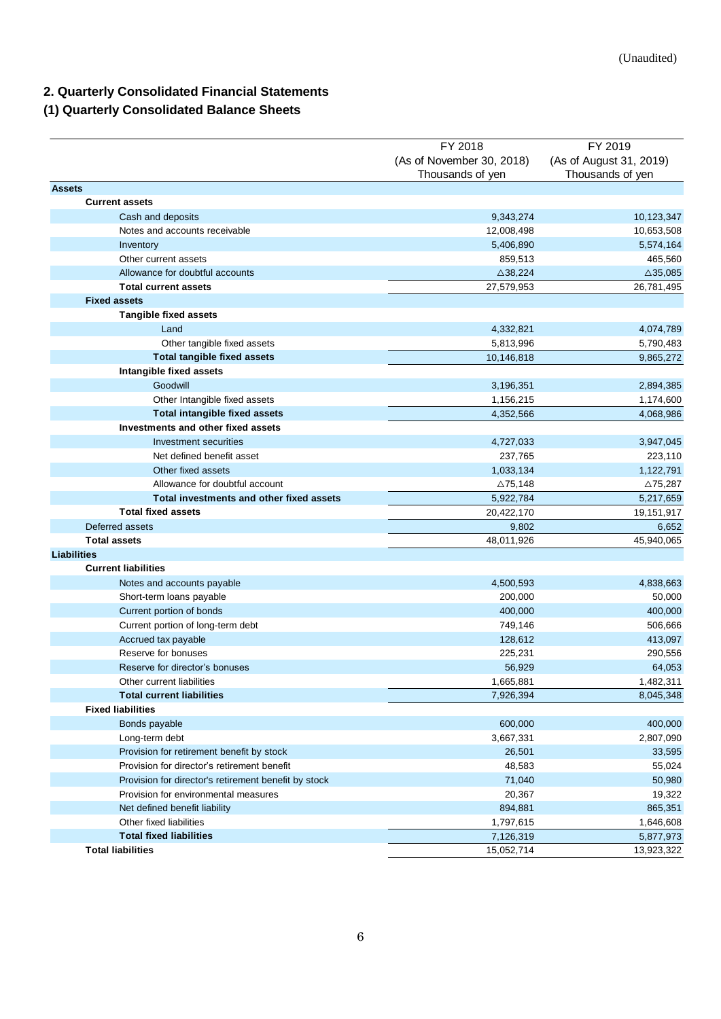# <span id="page-5-0"></span>**2. Quarterly Consolidated Financial Statements**

# <span id="page-5-1"></span>**(1) Quarterly Consolidated Balance Sheets**

| (As of November 30, 2018)<br>(As of August 31, 2019)<br>Thousands of yen<br>Thousands of yen<br><b>Assets</b><br><b>Current assets</b><br>9,343,274<br>Cash and deposits<br>Notes and accounts receivable<br>12,008,498<br>Inventory<br>5,406,890<br>Other current assets<br>859,513<br>Allowance for doubtful accounts<br>$\triangle$ 38,224<br>$\triangle$ 35,085<br><b>Total current assets</b><br>27,579,953<br>26,781,495<br><b>Fixed assets</b><br><b>Tangible fixed assets</b><br>Land<br>4,332,821<br>4,074,789<br>Other tangible fixed assets<br>5,813,996<br>5,790,483<br><b>Total tangible fixed assets</b><br>10,146,818<br>9,865,272<br>Intangible fixed assets<br>Goodwill<br>3,196,351<br>2,894,385<br>Other Intangible fixed assets<br>1,156,215<br>1,174,600<br><b>Total intangible fixed assets</b><br>4,352,566<br>4,068,986<br>Investments and other fixed assets<br>Investment securities<br>4,727,033<br>3,947,045<br>Net defined benefit asset<br>237,765<br>223,110<br>Other fixed assets<br>1,033,134<br>1,122,791<br>Allowance for doubtful account<br>$\triangle$ 75,148<br>$\triangle$ 75,287<br>Total investments and other fixed assets<br>5,922,784<br>5,217,659<br><b>Total fixed assets</b><br>20,422,170<br>19,151,917<br>Deferred assets<br>9,802<br>6,652<br><b>Total assets</b><br>45,940,065<br>48,011,926<br><b>Liabilities</b><br><b>Current liabilities</b><br>4,838,663<br>Notes and accounts payable<br>4,500,593<br>Short-term loans payable<br>200,000<br>50,000<br>Current portion of bonds<br>400,000<br>400,000<br>Current portion of long-term debt<br>749,146<br>506,666<br>128,612<br>Accrued tax payable<br>413,097<br>Reserve for bonuses<br>225,231<br>290,556<br>Reserve for director's bonuses<br>56,929<br>64,053<br>1,482,311<br>1.665.881<br>Other current liabilities<br><b>Total current liabilities</b><br>7,926,394<br>8,045,348<br><b>Fixed liabilities</b><br>600,000<br>Bonds payable<br>Long-term debt<br>3,667,331<br>2,807,090<br>Provision for retirement benefit by stock<br>26,501<br>33,595<br>Provision for director's retirement benefit<br>48,583<br>55,024<br>Provision for director's retirement benefit by stock<br>71,040<br>50,980<br>20,367<br>19,322<br>Provision for environmental measures<br>894,881<br>865,351<br>Net defined benefit liability<br>Other fixed liabilities<br>1,797,615<br>1,646,608<br><b>Total fixed liabilities</b><br>5,877,973<br>7,126,319<br><b>Total liabilities</b><br>15,052,714 | FY 2018 | FY 2019    |
|---------------------------------------------------------------------------------------------------------------------------------------------------------------------------------------------------------------------------------------------------------------------------------------------------------------------------------------------------------------------------------------------------------------------------------------------------------------------------------------------------------------------------------------------------------------------------------------------------------------------------------------------------------------------------------------------------------------------------------------------------------------------------------------------------------------------------------------------------------------------------------------------------------------------------------------------------------------------------------------------------------------------------------------------------------------------------------------------------------------------------------------------------------------------------------------------------------------------------------------------------------------------------------------------------------------------------------------------------------------------------------------------------------------------------------------------------------------------------------------------------------------------------------------------------------------------------------------------------------------------------------------------------------------------------------------------------------------------------------------------------------------------------------------------------------------------------------------------------------------------------------------------------------------------------------------------------------------------------------------------------------------------------------------------------------------------------------------------------------------------------------------------------------------------------------------------------------------------------------------------------------------------------------------------------------------------------------------------------------------------------------------------------------------------------------------------------------------------------------------------------|---------|------------|
|                                                                                                                                                                                                                                                                                                                                                                                                                                                                                                                                                                                                                                                                                                                                                                                                                                                                                                                                                                                                                                                                                                                                                                                                                                                                                                                                                                                                                                                                                                                                                                                                                                                                                                                                                                                                                                                                                                                                                                                                                                                                                                                                                                                                                                                                                                                                                                                                                                                                                                   |         |            |
|                                                                                                                                                                                                                                                                                                                                                                                                                                                                                                                                                                                                                                                                                                                                                                                                                                                                                                                                                                                                                                                                                                                                                                                                                                                                                                                                                                                                                                                                                                                                                                                                                                                                                                                                                                                                                                                                                                                                                                                                                                                                                                                                                                                                                                                                                                                                                                                                                                                                                                   |         |            |
|                                                                                                                                                                                                                                                                                                                                                                                                                                                                                                                                                                                                                                                                                                                                                                                                                                                                                                                                                                                                                                                                                                                                                                                                                                                                                                                                                                                                                                                                                                                                                                                                                                                                                                                                                                                                                                                                                                                                                                                                                                                                                                                                                                                                                                                                                                                                                                                                                                                                                                   |         |            |
|                                                                                                                                                                                                                                                                                                                                                                                                                                                                                                                                                                                                                                                                                                                                                                                                                                                                                                                                                                                                                                                                                                                                                                                                                                                                                                                                                                                                                                                                                                                                                                                                                                                                                                                                                                                                                                                                                                                                                                                                                                                                                                                                                                                                                                                                                                                                                                                                                                                                                                   |         |            |
|                                                                                                                                                                                                                                                                                                                                                                                                                                                                                                                                                                                                                                                                                                                                                                                                                                                                                                                                                                                                                                                                                                                                                                                                                                                                                                                                                                                                                                                                                                                                                                                                                                                                                                                                                                                                                                                                                                                                                                                                                                                                                                                                                                                                                                                                                                                                                                                                                                                                                                   |         | 10,123,347 |
|                                                                                                                                                                                                                                                                                                                                                                                                                                                                                                                                                                                                                                                                                                                                                                                                                                                                                                                                                                                                                                                                                                                                                                                                                                                                                                                                                                                                                                                                                                                                                                                                                                                                                                                                                                                                                                                                                                                                                                                                                                                                                                                                                                                                                                                                                                                                                                                                                                                                                                   |         | 10,653,508 |
|                                                                                                                                                                                                                                                                                                                                                                                                                                                                                                                                                                                                                                                                                                                                                                                                                                                                                                                                                                                                                                                                                                                                                                                                                                                                                                                                                                                                                                                                                                                                                                                                                                                                                                                                                                                                                                                                                                                                                                                                                                                                                                                                                                                                                                                                                                                                                                                                                                                                                                   |         | 5,574,164  |
|                                                                                                                                                                                                                                                                                                                                                                                                                                                                                                                                                                                                                                                                                                                                                                                                                                                                                                                                                                                                                                                                                                                                                                                                                                                                                                                                                                                                                                                                                                                                                                                                                                                                                                                                                                                                                                                                                                                                                                                                                                                                                                                                                                                                                                                                                                                                                                                                                                                                                                   |         | 465,560    |
|                                                                                                                                                                                                                                                                                                                                                                                                                                                                                                                                                                                                                                                                                                                                                                                                                                                                                                                                                                                                                                                                                                                                                                                                                                                                                                                                                                                                                                                                                                                                                                                                                                                                                                                                                                                                                                                                                                                                                                                                                                                                                                                                                                                                                                                                                                                                                                                                                                                                                                   |         |            |
|                                                                                                                                                                                                                                                                                                                                                                                                                                                                                                                                                                                                                                                                                                                                                                                                                                                                                                                                                                                                                                                                                                                                                                                                                                                                                                                                                                                                                                                                                                                                                                                                                                                                                                                                                                                                                                                                                                                                                                                                                                                                                                                                                                                                                                                                                                                                                                                                                                                                                                   |         |            |
|                                                                                                                                                                                                                                                                                                                                                                                                                                                                                                                                                                                                                                                                                                                                                                                                                                                                                                                                                                                                                                                                                                                                                                                                                                                                                                                                                                                                                                                                                                                                                                                                                                                                                                                                                                                                                                                                                                                                                                                                                                                                                                                                                                                                                                                                                                                                                                                                                                                                                                   |         |            |
|                                                                                                                                                                                                                                                                                                                                                                                                                                                                                                                                                                                                                                                                                                                                                                                                                                                                                                                                                                                                                                                                                                                                                                                                                                                                                                                                                                                                                                                                                                                                                                                                                                                                                                                                                                                                                                                                                                                                                                                                                                                                                                                                                                                                                                                                                                                                                                                                                                                                                                   |         |            |
|                                                                                                                                                                                                                                                                                                                                                                                                                                                                                                                                                                                                                                                                                                                                                                                                                                                                                                                                                                                                                                                                                                                                                                                                                                                                                                                                                                                                                                                                                                                                                                                                                                                                                                                                                                                                                                                                                                                                                                                                                                                                                                                                                                                                                                                                                                                                                                                                                                                                                                   |         |            |
|                                                                                                                                                                                                                                                                                                                                                                                                                                                                                                                                                                                                                                                                                                                                                                                                                                                                                                                                                                                                                                                                                                                                                                                                                                                                                                                                                                                                                                                                                                                                                                                                                                                                                                                                                                                                                                                                                                                                                                                                                                                                                                                                                                                                                                                                                                                                                                                                                                                                                                   |         |            |
|                                                                                                                                                                                                                                                                                                                                                                                                                                                                                                                                                                                                                                                                                                                                                                                                                                                                                                                                                                                                                                                                                                                                                                                                                                                                                                                                                                                                                                                                                                                                                                                                                                                                                                                                                                                                                                                                                                                                                                                                                                                                                                                                                                                                                                                                                                                                                                                                                                                                                                   |         |            |
|                                                                                                                                                                                                                                                                                                                                                                                                                                                                                                                                                                                                                                                                                                                                                                                                                                                                                                                                                                                                                                                                                                                                                                                                                                                                                                                                                                                                                                                                                                                                                                                                                                                                                                                                                                                                                                                                                                                                                                                                                                                                                                                                                                                                                                                                                                                                                                                                                                                                                                   |         |            |
|                                                                                                                                                                                                                                                                                                                                                                                                                                                                                                                                                                                                                                                                                                                                                                                                                                                                                                                                                                                                                                                                                                                                                                                                                                                                                                                                                                                                                                                                                                                                                                                                                                                                                                                                                                                                                                                                                                                                                                                                                                                                                                                                                                                                                                                                                                                                                                                                                                                                                                   |         |            |
|                                                                                                                                                                                                                                                                                                                                                                                                                                                                                                                                                                                                                                                                                                                                                                                                                                                                                                                                                                                                                                                                                                                                                                                                                                                                                                                                                                                                                                                                                                                                                                                                                                                                                                                                                                                                                                                                                                                                                                                                                                                                                                                                                                                                                                                                                                                                                                                                                                                                                                   |         |            |
|                                                                                                                                                                                                                                                                                                                                                                                                                                                                                                                                                                                                                                                                                                                                                                                                                                                                                                                                                                                                                                                                                                                                                                                                                                                                                                                                                                                                                                                                                                                                                                                                                                                                                                                                                                                                                                                                                                                                                                                                                                                                                                                                                                                                                                                                                                                                                                                                                                                                                                   |         |            |
|                                                                                                                                                                                                                                                                                                                                                                                                                                                                                                                                                                                                                                                                                                                                                                                                                                                                                                                                                                                                                                                                                                                                                                                                                                                                                                                                                                                                                                                                                                                                                                                                                                                                                                                                                                                                                                                                                                                                                                                                                                                                                                                                                                                                                                                                                                                                                                                                                                                                                                   |         |            |
|                                                                                                                                                                                                                                                                                                                                                                                                                                                                                                                                                                                                                                                                                                                                                                                                                                                                                                                                                                                                                                                                                                                                                                                                                                                                                                                                                                                                                                                                                                                                                                                                                                                                                                                                                                                                                                                                                                                                                                                                                                                                                                                                                                                                                                                                                                                                                                                                                                                                                                   |         |            |
|                                                                                                                                                                                                                                                                                                                                                                                                                                                                                                                                                                                                                                                                                                                                                                                                                                                                                                                                                                                                                                                                                                                                                                                                                                                                                                                                                                                                                                                                                                                                                                                                                                                                                                                                                                                                                                                                                                                                                                                                                                                                                                                                                                                                                                                                                                                                                                                                                                                                                                   |         |            |
|                                                                                                                                                                                                                                                                                                                                                                                                                                                                                                                                                                                                                                                                                                                                                                                                                                                                                                                                                                                                                                                                                                                                                                                                                                                                                                                                                                                                                                                                                                                                                                                                                                                                                                                                                                                                                                                                                                                                                                                                                                                                                                                                                                                                                                                                                                                                                                                                                                                                                                   |         |            |
|                                                                                                                                                                                                                                                                                                                                                                                                                                                                                                                                                                                                                                                                                                                                                                                                                                                                                                                                                                                                                                                                                                                                                                                                                                                                                                                                                                                                                                                                                                                                                                                                                                                                                                                                                                                                                                                                                                                                                                                                                                                                                                                                                                                                                                                                                                                                                                                                                                                                                                   |         |            |
|                                                                                                                                                                                                                                                                                                                                                                                                                                                                                                                                                                                                                                                                                                                                                                                                                                                                                                                                                                                                                                                                                                                                                                                                                                                                                                                                                                                                                                                                                                                                                                                                                                                                                                                                                                                                                                                                                                                                                                                                                                                                                                                                                                                                                                                                                                                                                                                                                                                                                                   |         |            |
|                                                                                                                                                                                                                                                                                                                                                                                                                                                                                                                                                                                                                                                                                                                                                                                                                                                                                                                                                                                                                                                                                                                                                                                                                                                                                                                                                                                                                                                                                                                                                                                                                                                                                                                                                                                                                                                                                                                                                                                                                                                                                                                                                                                                                                                                                                                                                                                                                                                                                                   |         |            |
|                                                                                                                                                                                                                                                                                                                                                                                                                                                                                                                                                                                                                                                                                                                                                                                                                                                                                                                                                                                                                                                                                                                                                                                                                                                                                                                                                                                                                                                                                                                                                                                                                                                                                                                                                                                                                                                                                                                                                                                                                                                                                                                                                                                                                                                                                                                                                                                                                                                                                                   |         |            |
|                                                                                                                                                                                                                                                                                                                                                                                                                                                                                                                                                                                                                                                                                                                                                                                                                                                                                                                                                                                                                                                                                                                                                                                                                                                                                                                                                                                                                                                                                                                                                                                                                                                                                                                                                                                                                                                                                                                                                                                                                                                                                                                                                                                                                                                                                                                                                                                                                                                                                                   |         |            |
|                                                                                                                                                                                                                                                                                                                                                                                                                                                                                                                                                                                                                                                                                                                                                                                                                                                                                                                                                                                                                                                                                                                                                                                                                                                                                                                                                                                                                                                                                                                                                                                                                                                                                                                                                                                                                                                                                                                                                                                                                                                                                                                                                                                                                                                                                                                                                                                                                                                                                                   |         |            |
|                                                                                                                                                                                                                                                                                                                                                                                                                                                                                                                                                                                                                                                                                                                                                                                                                                                                                                                                                                                                                                                                                                                                                                                                                                                                                                                                                                                                                                                                                                                                                                                                                                                                                                                                                                                                                                                                                                                                                                                                                                                                                                                                                                                                                                                                                                                                                                                                                                                                                                   |         |            |
|                                                                                                                                                                                                                                                                                                                                                                                                                                                                                                                                                                                                                                                                                                                                                                                                                                                                                                                                                                                                                                                                                                                                                                                                                                                                                                                                                                                                                                                                                                                                                                                                                                                                                                                                                                                                                                                                                                                                                                                                                                                                                                                                                                                                                                                                                                                                                                                                                                                                                                   |         |            |
|                                                                                                                                                                                                                                                                                                                                                                                                                                                                                                                                                                                                                                                                                                                                                                                                                                                                                                                                                                                                                                                                                                                                                                                                                                                                                                                                                                                                                                                                                                                                                                                                                                                                                                                                                                                                                                                                                                                                                                                                                                                                                                                                                                                                                                                                                                                                                                                                                                                                                                   |         |            |
|                                                                                                                                                                                                                                                                                                                                                                                                                                                                                                                                                                                                                                                                                                                                                                                                                                                                                                                                                                                                                                                                                                                                                                                                                                                                                                                                                                                                                                                                                                                                                                                                                                                                                                                                                                                                                                                                                                                                                                                                                                                                                                                                                                                                                                                                                                                                                                                                                                                                                                   |         |            |
|                                                                                                                                                                                                                                                                                                                                                                                                                                                                                                                                                                                                                                                                                                                                                                                                                                                                                                                                                                                                                                                                                                                                                                                                                                                                                                                                                                                                                                                                                                                                                                                                                                                                                                                                                                                                                                                                                                                                                                                                                                                                                                                                                                                                                                                                                                                                                                                                                                                                                                   |         |            |
|                                                                                                                                                                                                                                                                                                                                                                                                                                                                                                                                                                                                                                                                                                                                                                                                                                                                                                                                                                                                                                                                                                                                                                                                                                                                                                                                                                                                                                                                                                                                                                                                                                                                                                                                                                                                                                                                                                                                                                                                                                                                                                                                                                                                                                                                                                                                                                                                                                                                                                   |         |            |
|                                                                                                                                                                                                                                                                                                                                                                                                                                                                                                                                                                                                                                                                                                                                                                                                                                                                                                                                                                                                                                                                                                                                                                                                                                                                                                                                                                                                                                                                                                                                                                                                                                                                                                                                                                                                                                                                                                                                                                                                                                                                                                                                                                                                                                                                                                                                                                                                                                                                                                   |         |            |
|                                                                                                                                                                                                                                                                                                                                                                                                                                                                                                                                                                                                                                                                                                                                                                                                                                                                                                                                                                                                                                                                                                                                                                                                                                                                                                                                                                                                                                                                                                                                                                                                                                                                                                                                                                                                                                                                                                                                                                                                                                                                                                                                                                                                                                                                                                                                                                                                                                                                                                   |         |            |
|                                                                                                                                                                                                                                                                                                                                                                                                                                                                                                                                                                                                                                                                                                                                                                                                                                                                                                                                                                                                                                                                                                                                                                                                                                                                                                                                                                                                                                                                                                                                                                                                                                                                                                                                                                                                                                                                                                                                                                                                                                                                                                                                                                                                                                                                                                                                                                                                                                                                                                   |         |            |
|                                                                                                                                                                                                                                                                                                                                                                                                                                                                                                                                                                                                                                                                                                                                                                                                                                                                                                                                                                                                                                                                                                                                                                                                                                                                                                                                                                                                                                                                                                                                                                                                                                                                                                                                                                                                                                                                                                                                                                                                                                                                                                                                                                                                                                                                                                                                                                                                                                                                                                   |         |            |
|                                                                                                                                                                                                                                                                                                                                                                                                                                                                                                                                                                                                                                                                                                                                                                                                                                                                                                                                                                                                                                                                                                                                                                                                                                                                                                                                                                                                                                                                                                                                                                                                                                                                                                                                                                                                                                                                                                                                                                                                                                                                                                                                                                                                                                                                                                                                                                                                                                                                                                   |         |            |
|                                                                                                                                                                                                                                                                                                                                                                                                                                                                                                                                                                                                                                                                                                                                                                                                                                                                                                                                                                                                                                                                                                                                                                                                                                                                                                                                                                                                                                                                                                                                                                                                                                                                                                                                                                                                                                                                                                                                                                                                                                                                                                                                                                                                                                                                                                                                                                                                                                                                                                   |         | 400,000    |
|                                                                                                                                                                                                                                                                                                                                                                                                                                                                                                                                                                                                                                                                                                                                                                                                                                                                                                                                                                                                                                                                                                                                                                                                                                                                                                                                                                                                                                                                                                                                                                                                                                                                                                                                                                                                                                                                                                                                                                                                                                                                                                                                                                                                                                                                                                                                                                                                                                                                                                   |         |            |
|                                                                                                                                                                                                                                                                                                                                                                                                                                                                                                                                                                                                                                                                                                                                                                                                                                                                                                                                                                                                                                                                                                                                                                                                                                                                                                                                                                                                                                                                                                                                                                                                                                                                                                                                                                                                                                                                                                                                                                                                                                                                                                                                                                                                                                                                                                                                                                                                                                                                                                   |         |            |
|                                                                                                                                                                                                                                                                                                                                                                                                                                                                                                                                                                                                                                                                                                                                                                                                                                                                                                                                                                                                                                                                                                                                                                                                                                                                                                                                                                                                                                                                                                                                                                                                                                                                                                                                                                                                                                                                                                                                                                                                                                                                                                                                                                                                                                                                                                                                                                                                                                                                                                   |         |            |
|                                                                                                                                                                                                                                                                                                                                                                                                                                                                                                                                                                                                                                                                                                                                                                                                                                                                                                                                                                                                                                                                                                                                                                                                                                                                                                                                                                                                                                                                                                                                                                                                                                                                                                                                                                                                                                                                                                                                                                                                                                                                                                                                                                                                                                                                                                                                                                                                                                                                                                   |         |            |
|                                                                                                                                                                                                                                                                                                                                                                                                                                                                                                                                                                                                                                                                                                                                                                                                                                                                                                                                                                                                                                                                                                                                                                                                                                                                                                                                                                                                                                                                                                                                                                                                                                                                                                                                                                                                                                                                                                                                                                                                                                                                                                                                                                                                                                                                                                                                                                                                                                                                                                   |         |            |
|                                                                                                                                                                                                                                                                                                                                                                                                                                                                                                                                                                                                                                                                                                                                                                                                                                                                                                                                                                                                                                                                                                                                                                                                                                                                                                                                                                                                                                                                                                                                                                                                                                                                                                                                                                                                                                                                                                                                                                                                                                                                                                                                                                                                                                                                                                                                                                                                                                                                                                   |         |            |
|                                                                                                                                                                                                                                                                                                                                                                                                                                                                                                                                                                                                                                                                                                                                                                                                                                                                                                                                                                                                                                                                                                                                                                                                                                                                                                                                                                                                                                                                                                                                                                                                                                                                                                                                                                                                                                                                                                                                                                                                                                                                                                                                                                                                                                                                                                                                                                                                                                                                                                   |         |            |
|                                                                                                                                                                                                                                                                                                                                                                                                                                                                                                                                                                                                                                                                                                                                                                                                                                                                                                                                                                                                                                                                                                                                                                                                                                                                                                                                                                                                                                                                                                                                                                                                                                                                                                                                                                                                                                                                                                                                                                                                                                                                                                                                                                                                                                                                                                                                                                                                                                                                                                   |         |            |
|                                                                                                                                                                                                                                                                                                                                                                                                                                                                                                                                                                                                                                                                                                                                                                                                                                                                                                                                                                                                                                                                                                                                                                                                                                                                                                                                                                                                                                                                                                                                                                                                                                                                                                                                                                                                                                                                                                                                                                                                                                                                                                                                                                                                                                                                                                                                                                                                                                                                                                   |         | 13,923,322 |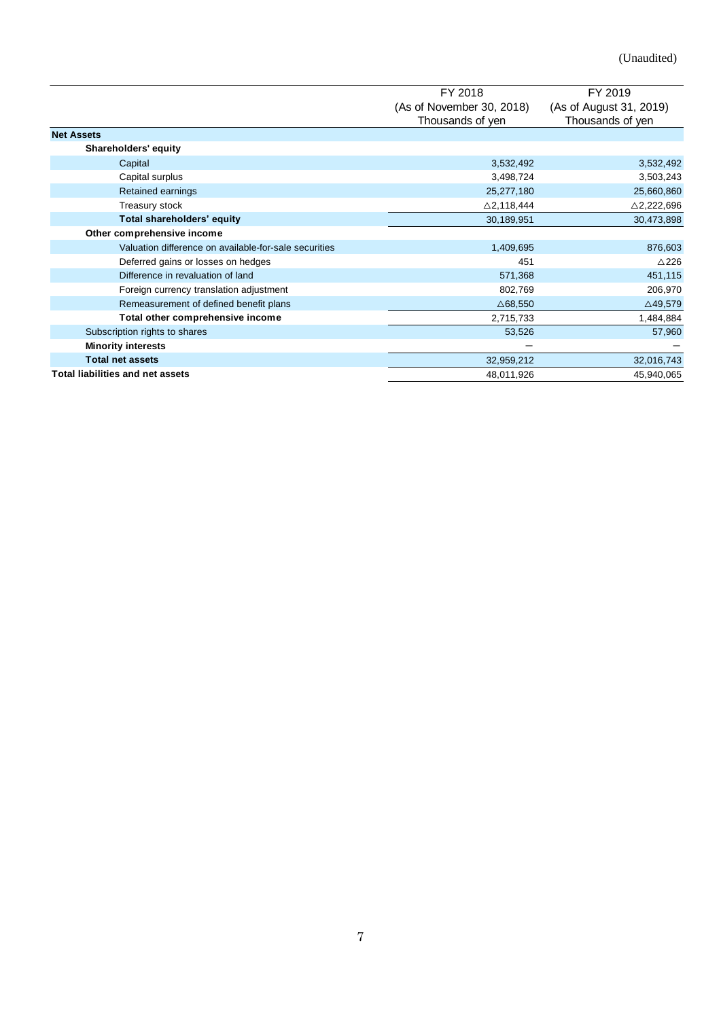|                                                       | FY 2018                   | FY 2019                 |
|-------------------------------------------------------|---------------------------|-------------------------|
|                                                       | (As of November 30, 2018) | (As of August 31, 2019) |
|                                                       | Thousands of yen          | Thousands of yen        |
| <b>Net Assets</b>                                     |                           |                         |
| Shareholders' equity                                  |                           |                         |
| Capital                                               | 3,532,492                 | 3,532,492               |
| Capital surplus                                       | 3,498,724                 | 3,503,243               |
| Retained earnings                                     | 25,277,180                | 25,660,860              |
| Treasury stock                                        | $\triangle$ 2,118,444     | △2,222,696              |
| Total shareholders' equity                            | 30,189,951                | 30,473,898              |
| Other comprehensive income                            |                           |                         |
| Valuation difference on available-for-sale securities | 1,409,695                 | 876,603                 |
| Deferred gains or losses on hedges                    | 451                       | $\triangle$ 226         |
| Difference in revaluation of land                     | 571,368                   | 451,115                 |
| Foreign currency translation adjustment               | 802,769                   | 206,970                 |
| Remeasurement of defined benefit plans                | $\triangle$ 68,550        | $\triangle$ 49,579      |
| Total other comprehensive income                      | 2,715,733                 | 1,484,884               |
| Subscription rights to shares                         | 53,526                    | 57,960                  |
| <b>Minority interests</b>                             |                           |                         |
| <b>Total net assets</b>                               | 32,959,212                | 32,016,743              |
| <b>Total liabilities and net assets</b>               | 48,011,926                | 45,940,065              |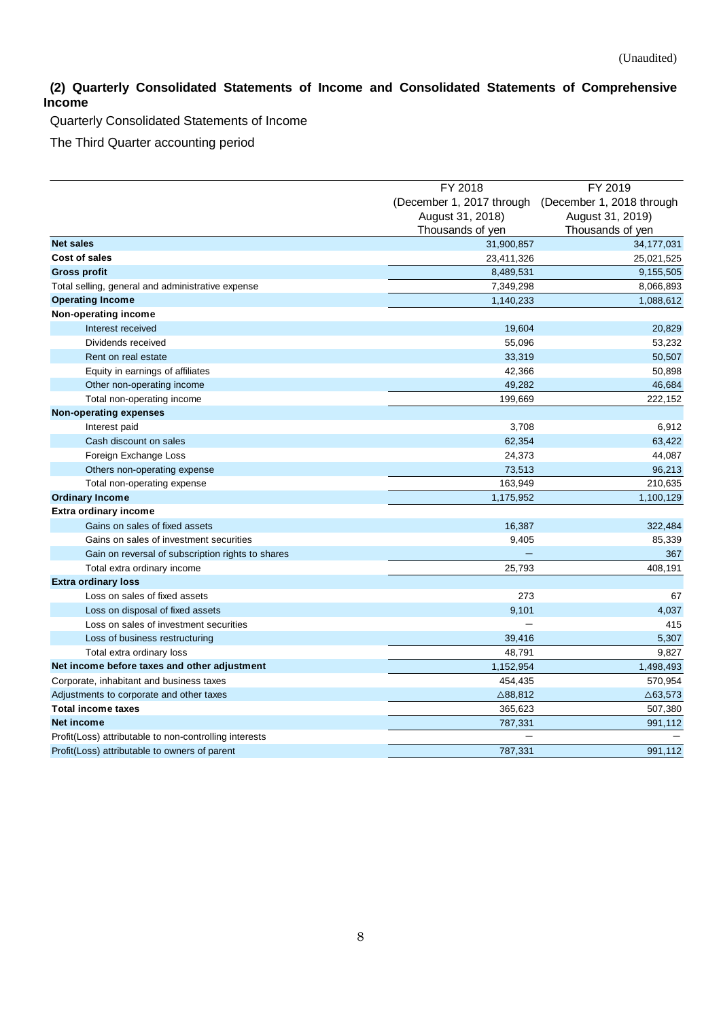# <span id="page-7-0"></span>**(2) Quarterly Consolidated Statements of Income and Consolidated Statements of Comprehensive Income**

Quarterly Consolidated Statements of Income

The Third Quarter accounting period

|                                                        | FY 2018                   | FY 2019                              |  |
|--------------------------------------------------------|---------------------------|--------------------------------------|--|
|                                                        | (December 1, 2017 through |                                      |  |
|                                                        | August 31, 2018)          | (December 1, 2018 through            |  |
|                                                        | Thousands of yen          | August 31, 2019)<br>Thousands of yen |  |
| <b>Net sales</b>                                       |                           |                                      |  |
| Cost of sales                                          | 31,900,857                | 34,177,031                           |  |
|                                                        | 23,411,326                | 25,021,525                           |  |
| <b>Gross profit</b>                                    | 8,489,531                 | 9,155,505                            |  |
| Total selling, general and administrative expense      | 7,349,298                 | 8,066,893                            |  |
| <b>Operating Income</b>                                | 1,140,233                 | 1,088,612                            |  |
| Non-operating income                                   |                           |                                      |  |
| Interest received                                      | 19,604                    | 20,829                               |  |
| Dividends received                                     | 55,096                    | 53,232                               |  |
| Rent on real estate                                    | 33,319                    | 50,507                               |  |
| Equity in earnings of affiliates                       | 42,366                    | 50,898                               |  |
| Other non-operating income                             | 49,282                    | 46,684                               |  |
| Total non-operating income                             | 199,669                   | 222,152                              |  |
| <b>Non-operating expenses</b>                          |                           |                                      |  |
| Interest paid                                          | 3,708                     | 6,912                                |  |
| Cash discount on sales                                 | 62,354                    | 63,422                               |  |
| Foreign Exchange Loss                                  | 24,373                    | 44,087                               |  |
| Others non-operating expense                           | 73,513                    | 96,213                               |  |
| Total non-operating expense                            | 163,949                   | 210,635                              |  |
| <b>Ordinary Income</b>                                 | 1,175,952                 | 1,100,129                            |  |
| <b>Extra ordinary income</b>                           |                           |                                      |  |
| Gains on sales of fixed assets                         | 16,387                    | 322,484                              |  |
| Gains on sales of investment securities                | 9,405                     | 85,339                               |  |
| Gain on reversal of subscription rights to shares      |                           | 367                                  |  |
| Total extra ordinary income                            | 25,793                    | 408,191                              |  |
| <b>Extra ordinary loss</b>                             |                           |                                      |  |
| Loss on sales of fixed assets                          | 273                       | 67                                   |  |
| Loss on disposal of fixed assets                       | 9,101                     | 4,037                                |  |
| Loss on sales of investment securities                 |                           | 415                                  |  |
| Loss of business restructuring                         | 39,416                    | 5,307                                |  |
| Total extra ordinary loss                              | 48,791                    | 9,827                                |  |
| Net income before taxes and other adjustment           | 1,152,954                 | 1,498,493                            |  |
| Corporate, inhabitant and business taxes               | 454,435                   | 570,954                              |  |
| Adjustments to corporate and other taxes               | $\triangle$ 88,812        | $\triangle$ 63,573                   |  |
| <b>Total income taxes</b>                              | 365,623                   | 507,380                              |  |
| Net income                                             | 787,331                   | 991,112                              |  |
| Profit(Loss) attributable to non-controlling interests |                           |                                      |  |
| Profit(Loss) attributable to owners of parent          | 787.331                   | 991,112                              |  |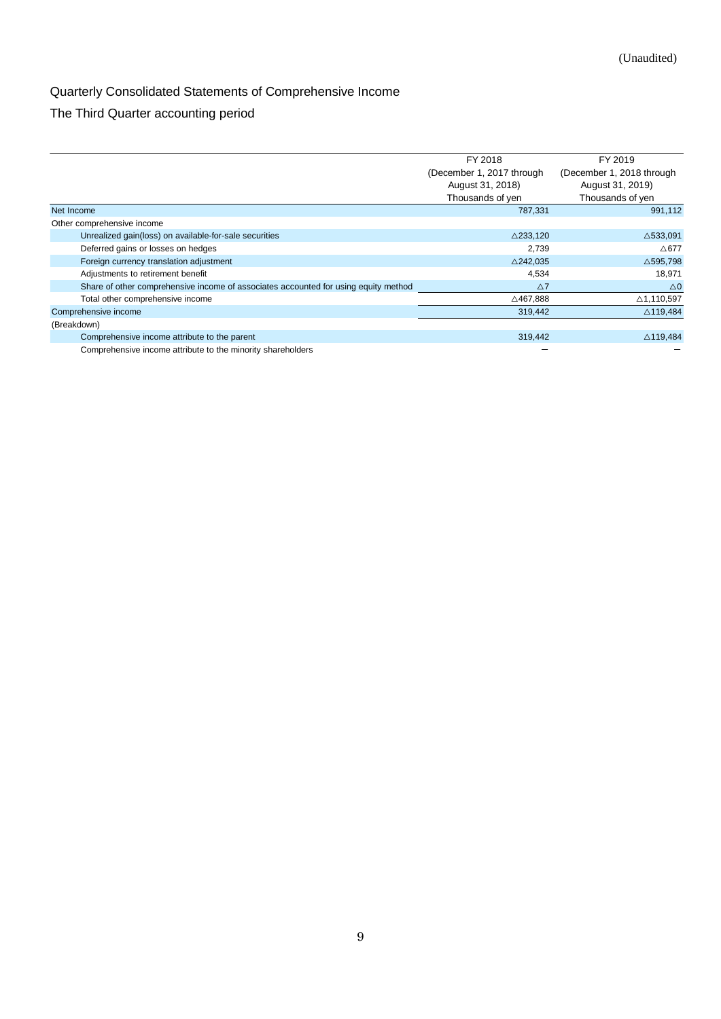# Quarterly Consolidated Statements of Comprehensive Income

# The Third Quarter accounting period

|                                                                                     | FY 2018                   | FY 2019                   |
|-------------------------------------------------------------------------------------|---------------------------|---------------------------|
|                                                                                     | (December 1, 2017 through | (December 1, 2018 through |
|                                                                                     | August 31, 2018)          | August 31, 2019)          |
|                                                                                     | Thousands of yen          | Thousands of yen          |
| Net Income                                                                          | 787,331                   | 991,112                   |
| Other comprehensive income                                                          |                           |                           |
| Unrealized gain(loss) on available-for-sale securities                              | $\triangle$ 233,120       | $\triangle$ 533,091       |
| Deferred gains or losses on hedges                                                  | 2.739                     | $\triangle$ 677           |
| Foreign currency translation adjustment                                             | $\triangle$ 242,035       | $\triangle$ 595,798       |
| Adjustments to retirement benefit                                                   | 4,534                     | 18,971                    |
| Share of other comprehensive income of associates accounted for using equity method | $\Delta$ 7                | $\triangle$ 0             |
| Total other comprehensive income                                                    | △467,888                  | △1,110,597                |
| Comprehensive income                                                                | 319,442                   | $\triangle$ 119,484       |
| (Breakdown)                                                                         |                           |                           |
| Comprehensive income attribute to the parent                                        | 319,442                   | $\triangle$ 119,484       |
| Comprehensive income attribute to the minority shareholders                         |                           |                           |

Comprehensive income attribute to the minority shareholders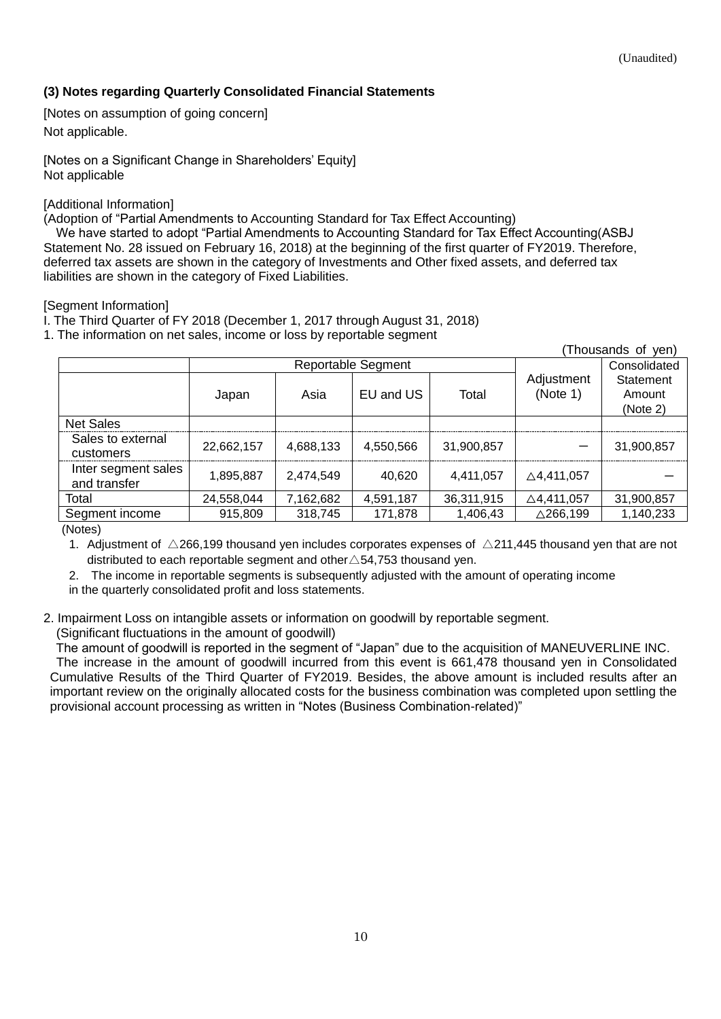# <span id="page-9-0"></span>**(3) Notes regarding Quarterly Consolidated Financial Statements**

<span id="page-9-1"></span>[Notes on assumption of going concern] Not applicable.

<span id="page-9-2"></span>[Notes on a Significant Change in Shareholders' Equity] Not applicable

## <span id="page-9-3"></span>[Additional Information]

(Adoption of "Partial Amendments to Accounting Standard for Tax Effect Accounting)

 We have started to adopt "Partial Amendments to Accounting Standard for Tax Effect Accounting(ASBJ Statement No. 28 issued on February 16, 2018) at the beginning of the first quarter of FY2019. Therefore, deferred tax assets are shown in the category of Investments and Other fixed assets, and deferred tax liabilities are shown in the category of Fixed Liabilities.

## <span id="page-9-4"></span>[Segment Information]

I. The Third Quarter of FY 2018 (December 1, 2017 through August 31, 2018)

1. The information on net sales, income or loss by reportable segment

|                                     |                    |           |           |            |                        | (Thousands of yen)              |
|-------------------------------------|--------------------|-----------|-----------|------------|------------------------|---------------------------------|
|                                     | Reportable Segment |           |           |            | Consolidated           |                                 |
|                                     | Japan              | Asia      | EU and US | Total      | Adjustment<br>(Note 1) | Statement<br>Amount<br>(Note 2) |
| <b>Net Sales</b>                    |                    |           |           |            |                        |                                 |
| Sales to external<br>customers      | 22,662,157         | 4,688,133 | 4,550,566 | 31,900,857 |                        | 31,900,857                      |
| Inter segment sales<br>and transfer | 1,895,887          | 2,474,549 | 40,620    | 4,411,057  | $\triangle$ 4,411,057  |                                 |
| Total                               | 24,558,044         | 7,162,682 | 4,591,187 | 36,311,915 | $\triangle$ 4,411,057  | 31,900,857                      |
| Segment income                      | 915,809            | 318,745   | 171,878   | 1,406,43   | $\triangle$ 266,199    | 1,140,233                       |

(Notes)

1. Adjustment of  $\triangle$ 266,199 thousand yen includes corporates expenses of  $\triangle$ 211,445 thousand yen that are not distributed to each reportable segment and other  $\triangle$  54,753 thousand yen.

2. The income in reportable segments is subsequently adjusted with the amount of operating income

in the quarterly consolidated profit and loss statements.

2. Impairment Loss on intangible assets or information on goodwill by reportable segment.

(Significant fluctuations in the amount of goodwill)

 The amount of goodwill is reported in the segment of "Japan" due to the acquisition of MANEUVERLINE INC. The increase in the amount of goodwill incurred from this event is 661,478 thousand yen in Consolidated Cumulative Results of the Third Quarter of FY2019. Besides, the above amount is included results after an important review on the originally allocated costs for the business combination was completed upon settling the provisional account processing as written in "Notes (Business Combination-related)"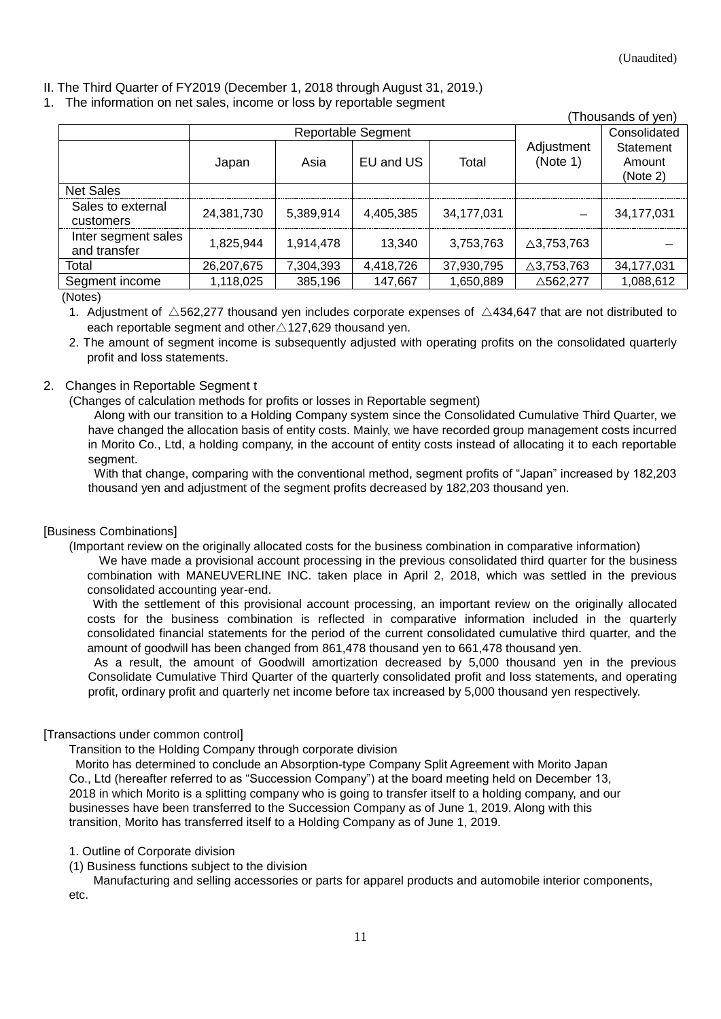## II. The Third Quarter of FY2019 (December 1, 2018 through August 31, 2019.)

#### 1. The information on net sales, income or loss by reportable segment

|                                     |                           |           |           |            |                        | (Thousands of yen)              |
|-------------------------------------|---------------------------|-----------|-----------|------------|------------------------|---------------------------------|
|                                     | <b>Reportable Segment</b> |           |           |            | Consolidated           |                                 |
|                                     | Japan                     | Asia      | EU and US | Total      | Adjustment<br>(Note 1) | Statement<br>Amount<br>(Note 2) |
| <b>Net Sales</b>                    |                           |           |           |            |                        |                                 |
| Sales to external<br>customers      | 24,381,730                | 5,389,914 | 4,405,385 | 34,177,031 |                        | 34,177,031                      |
| Inter segment sales<br>and transfer | 1.825.944                 | 1,914,478 | 13,340    | 3,753,763  | $\triangle$ 3,753,763  |                                 |
| Total                               | 26,207,675                | 7,304,393 | 4,418,726 | 37,930,795 | $\triangle$ 3,753,763  | 34,177,031                      |
| Segment income                      | 1,118,025                 | 385,196   | 147,667   | 1,650,889  | △562,277               | 1,088,612                       |

(Notes)

1. Adjustment of  $\triangle$ 562,277 thousand yen includes corporate expenses of  $\triangle$ 434,647 that are not distributed to each reportable segment and other∆127,629 thousand yen.

2. The amount of segment income is subsequently adjusted with operating profits on the consolidated quarterly profit and loss statements.

## 2. Changes in Reportable Segment t

(Changes of calculation methods for profits or losses in Reportable segment)

Along with our transition to a Holding Company system since the Consolidated Cumulative Third Quarter, we have changed the allocation basis of entity costs. Mainly, we have recorded group management costs incurred in Morito Co., Ltd, a holding company, in the account of entity costs instead of allocating it to each reportable segment.

With that change, comparing with the conventional method, segment profits of "Japan" increased by 182,203 thousand yen and adjustment of the segment profits decreased by 182,203 thousand yen.

### <span id="page-10-0"></span>[Business Combinations]

(Important review on the originally allocated costs for the business combination in comparative information)

 We have made a provisional account processing in the previous consolidated third quarter for the business combination with MANEUVERLINE INC. taken place in April 2, 2018, which was settled in the previous consolidated accounting year-end.

 With the settlement of this provisional account processing, an important review on the originally allocated costs for the business combination is reflected in comparative information included in the quarterly consolidated financial statements for the period of the current consolidated cumulative third quarter, and the amount of goodwill has been changed from 861,478 thousand yen to 661,478 thousand yen.

As a result, the amount of Goodwill amortization decreased by 5,000 thousand yen in the previous Consolidate Cumulative Third Quarter of the quarterly consolidated profit and loss statements, and operating profit, ordinary profit and quarterly net income before tax increased by 5,000 thousand yen respectively.

### <span id="page-10-1"></span>[Transactions under common control]

Transition to the Holding Company through corporate division

Morito has determined to conclude an Absorption-type Company Split Agreement with Morito Japan Co., Ltd (hereafter referred to as "Succession Company") at the board meeting held on December 13, 2018 in which Morito is a splitting company who is going to transfer itself to a holding company, and our businesses have been transferred to the Succession Company as of June 1, 2019. Along with this transition, Morito has transferred itself to a Holding Company as of June 1, 2019.

### 1. Outline of Corporate division

(1) Business functions subject to the division

 Manufacturing and selling accessories or parts for apparel products and automobile interior components, etc.